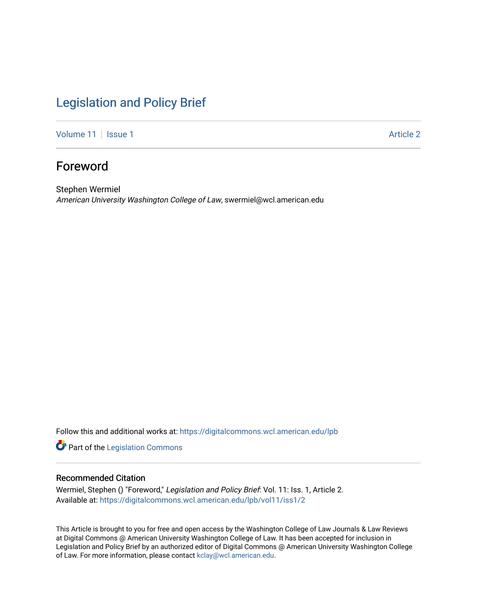# [Legislation and Policy Brief](https://digitalcommons.wcl.american.edu/lpb)

[Volume 11](https://digitalcommons.wcl.american.edu/lpb/vol11) | [Issue 1](https://digitalcommons.wcl.american.edu/lpb/vol11/iss1) Article 2

## Foreword

Stephen Wermiel American University Washington College of Law, swermiel@wcl.american.edu

Follow this and additional works at: [https://digitalcommons.wcl.american.edu/lpb](https://digitalcommons.wcl.american.edu/lpb?utm_source=digitalcommons.wcl.american.edu%2Flpb%2Fvol11%2Fiss1%2F2&utm_medium=PDF&utm_campaign=PDFCoverPages) 

Part of the [Legislation Commons](https://network.bepress.com/hgg/discipline/859?utm_source=digitalcommons.wcl.american.edu%2Flpb%2Fvol11%2Fiss1%2F2&utm_medium=PDF&utm_campaign=PDFCoverPages)

#### Recommended Citation

Wermiel, Stephen () "Foreword," Legislation and Policy Brief: Vol. 11: Iss. 1, Article 2. Available at: [https://digitalcommons.wcl.american.edu/lpb/vol11/iss1/2](https://digitalcommons.wcl.american.edu/lpb/vol11/iss1/2?utm_source=digitalcommons.wcl.american.edu%2Flpb%2Fvol11%2Fiss1%2F2&utm_medium=PDF&utm_campaign=PDFCoverPages) 

This Article is brought to you for free and open access by the Washington College of Law Journals & Law Reviews at Digital Commons @ American University Washington College of Law. It has been accepted for inclusion in Legislation and Policy Brief by an authorized editor of Digital Commons @ American University Washington College of Law. For more information, please contact [kclay@wcl.american.edu.](mailto:kclay@wcl.american.edu)